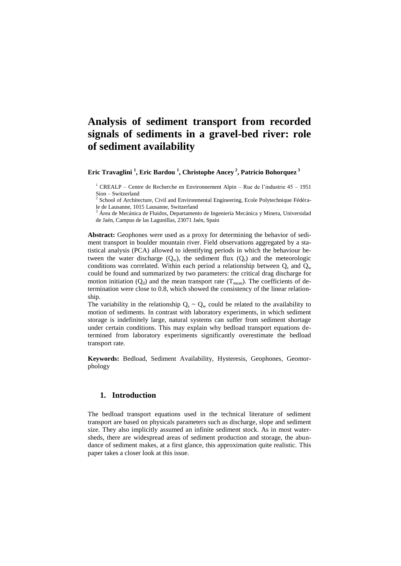# **Analysis of sediment transport from recorded signals of sediments in a gravel-bed river: role of sediment availability**

**Eric Travaglini <sup>1</sup> , Eric Bardou <sup>1</sup> , Christophe Ancey <sup>2</sup> , Patricio Bohorquez <sup>3</sup>**

 $1$  CREALP – Centre de Recherche en Environnement Alpin – Rue de l'industrie 45 – 1951 Sion – Switzerland

<sup>2</sup> School of Architecture, Civil and Environmental Engineering, Ecole Polytechnique Fédérale de Lausanne, 1015 Lausanne, Switzerland

 $3\text{ Årea}$  de Mecánica de Fluidos, Departamento de Ingeniería Mecánica y Minera, Universidad de Jaén, Campus de las Lagunillas, 23071 Jaén, Spain

**Abstract:** Geophones were used as a proxy for determining the behavior of sediment transport in boulder mountain river. Field observations aggregated by a statistical analysis (PCA) allowed to identifying periods in which the behaviour between the water discharge  $(Q_w)$ , the sediment flux  $(Q_s)$  and the meteorologic conditions was correlated. Within each period a relationship between  $Q_s$  and  $Q_w$ could be found and summarized by two parameters: the critical drag discharge for motion initiation  $(Q_d)$  and the mean transport rate  $(T_{mean})$ . The coefficients of determination were close to 0.8, which showed the consistency of the linear relationship.

The variability in the relationship  $Q_s \sim Q_w$  could be related to the availability to motion of sediments. In contrast with laboratory experiments, in which sediment storage is indefinitely large, natural systems can suffer from sediment shortage under certain conditions. This may explain why bedload transport equations determined from laboratory experiments significantly overestimate the bedload transport rate.

**Keywords:** Bedload, Sediment Availability, Hysteresis, Geophones, Geomorphology

## **1. Introduction**

The bedload transport equations used in the technical literature of sediment transport are based on physicals parameters such as discharge, slope and sediment size. They also implicitly assumed an infinite sediment stock. As in most watersheds, there are widespread areas of sediment production and storage, the abundance of sediment makes, at a first glance, this approximation quite realistic. This paper takes a closer look at this issue.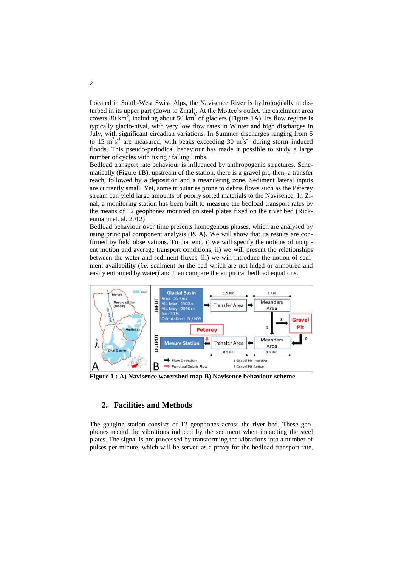Located in South-West Swiss Alps, the Navisence River is hydrologically undisturbed in its upper part (down to Zinal). At the Mottec's outlet, the catchment area covers 80 km<sup>2</sup>, including about 50 km<sup>2</sup> of glaciers (Figure 1A). Its flow regime is typically glacio-nival, with very low flow rates in Winter and high discharges in July, with significant circadian variations. In Summer discharges ranging from 5 to 15  $m^3s^{-1}$  are measured, with peaks exceeding 30  $m^3s^{-1}$  during storm–induced floods. This pseudo-periodical behaviour has made it possible to study a large number of cycles with rising / falling limbs.

Bedload transport rate behaviour is influenced by anthropogenic structures. Schematically [\(Figure 1B](#page-1-0)), upstream of the station, there is a gravel pit, then, a transfer reach, followed by a deposition and a meandering zone. Sediment lateral inputs are currently small. Yet, some tributaries prone to debris flows such as the Péterey stream can yield large amounts of poorly sorted materials to the Navisence, In Zinal, a monitoring station has been built to measure the bedload transport rates by the means of 12 geophones mounted on steel plates fixed on the river bed (Rickenmann et. al. 2012).

Bedload behaviour over time presents homogenous phases, which are analysed by using principal component analysis (PCA). We will show that its results are confirmed by field observations. To that end, i) we will specify the notions of incipient motion and average transport conditions, ii) we will present the relationships between the water and sediment fluxes, iii) we will introduce the notion of sediment availability (*i.e.* sediment on the bed which are not hided or armoured and easily entrained by water) and then compare the empirical bedload equations.



<span id="page-1-0"></span>**Figure 1 : A) Navisence watershed map B) Navisence behaviour scheme**

#### **2. Facilities and Methods**

The gauging station consists of 12 geophones across the river bed. These geophones record the vibrations induced by the sediment when impacting the steel plates. The signal is pre-processed by transforming the vibrations into a number of pulses per minute, which will be served as a proxy for the bedload transport rate.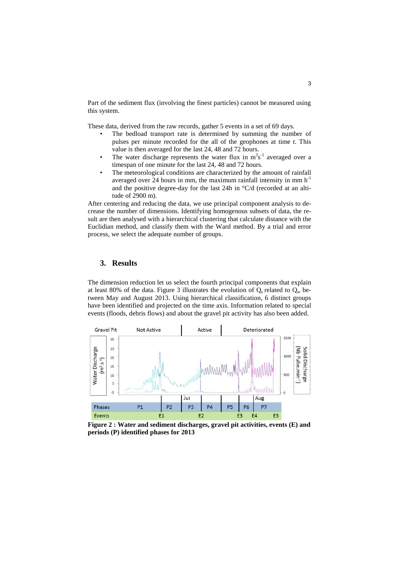Part of the sediment flux (involving the finest particles) cannot be measured using this system.

These data, derived from the raw records, gather 5 events in a set of 69 days.

- The bedload transport rate is determined by summing the number of pulses per minute recorded for the all of the geophones at time *t*. This value is then averaged for the last 24, 48 and 72 hours.
- The water discharge represents the water flux in  $m<sup>3</sup>s<sup>-1</sup>$  averaged over a timespan of one minute for the last 24, 48 and 72 hours.
- The meteorological conditions are characterized by the amount of rainfall averaged over  $24$  hours in mm, the maximum rainfall intensity in mm  $h^{-1}$ and the positive degree-day for the last 24h in °C/d (recorded at an altitude of 2900 m).

After centering and reducing the data, we use principal component analysis to decrease the number of dimensions. Identifying homogenous subsets of data, the result are then analysed with a hierarchical clustering that calculate distance with the Euclidian method, and classify them with the Ward method. By a trial and error process, we select the adequate number of groups.

# **3. Results**

The dimension reduction let us select the fourth principal components that explain at least 80% of the data. Figure 3 illustrates the evolution of  $Q_s$  related to  $Q_w$  between May and August 2013. Using hierarchical classification, 6 distinct groups have been identified and projected on the time axis. Information related to special events (floods, debris flows) and about the gravel pit activity has also been added.



**Figure 2 : Water and sediment discharges, gravel pit activities, events (E) and periods (P) identified phases for 2013**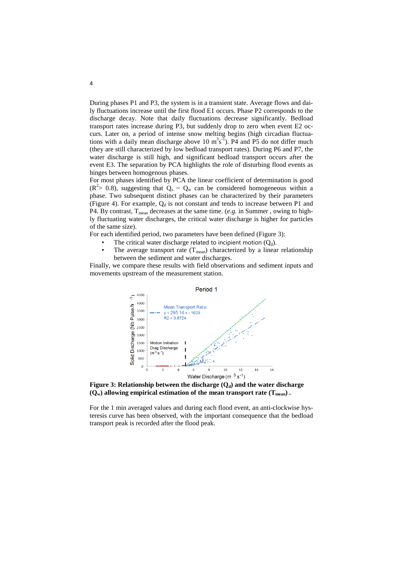During phases P1 and P3, the system is in a transient state. Average flows and daily fluctuations increase until the first flood E1 occurs. Phase P2 corresponds to the discharge decay. Note that daily fluctuations decrease significantly. Bedload transport rates increase during P3, but suddenly drop to zero when event E2 occurs. Later on, a period of intense snow melting begins (high circadian fluctuations with a daily mean discharge above 10  $m^3s^3$ . P4 and P5 do not differ much (they are still characterized by low bedload transport rates). During P6 and P7, the water discharge is still high, and significant bedload transport occurs after the event E3. The separation by PCA highlights the role of disturbing flood events as hinges between homogenous phases.

For most phases identified by PCA the linear coefficient of determination is good  $(R<sup>2</sup> > 0.8)$ , suggesting that  $Q_s \sim Q_w$  can be considered homogeneous within a phase. Two subsequent distinct phases can be characterized by their parameters [\(Figure 4\)](#page-4-0). For example,  $Q_d$  is not constant and tends to increase between P1 and P4. By contrast, T<sub>mean</sub> decreases at the same time. (*e.g.* in Summer, owing to highly fluctuating water discharges, the critical water discharge is higher for particles of the same size).

For each identified period, two parameters have been defined (Figure 3):

- The critical water discharge related to incipient motion  $(Q_d)$ .
- The average transport rate  $(T_{mean})$  characterized by a linear relationship between the sediment and water discharges.

Finally, we compare these results with field observations and sediment inputs and movements upstream of the measurement station.



**Figure 3: Relationship between the discharge**  $(Q_d)$  **and the water discharge**  $(Q_w)$  allowing empirical estimation of the mean transport rate  $(T_{mean})$ .

For the 1 min averaged values and during each flood event, an anti-clockwise hysteresis curve has been observed, with the important consequence that the bedload transport peak is recorded after the flood peak.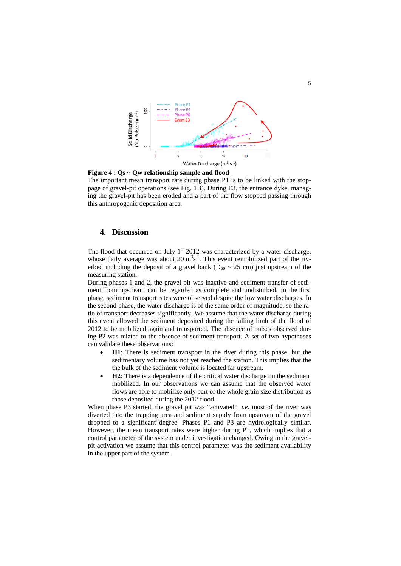

<span id="page-4-0"></span>**Figure 4 : Qs ~ Qw relationship sample and flood**  The important mean transport rate during phase P1 is to be linked with the stoppage of gravel-pit operations (see Fig. 1B). During E3, the entrance dyke, managing the gravel-pit has been eroded and a part of the flow stopped passing through this anthropogenic deposition area.

# **4. Discussion**

The flood that occurred on July  $1<sup>st</sup>$  2012 was characterized by a water discharge, whose daily average was about 20  $m^3s^{-1}$ . This event remobilized part of the riverbed including the deposit of a gravel bank ( $D_{50} \sim 25$  cm) just upstream of the measuring station.

During phases 1 and 2, the gravel pit was inactive and sediment transfer of sediment from upstream can be regarded as complete and undisturbed. In the first phase, sediment transport rates were observed despite the low water discharges. In the second phase, the water discharge is of the same order of magnitude, so the ratio of transport decreases significantly. We assume that the water discharge during this event allowed the sediment deposited during the falling limb of the flood of 2012 to be mobilized again and transported. The absence of pulses observed during P2 was related to the absence of sediment transport. A set of two hypotheses can validate these observations:

- **H1**: There is sediment transport in the river during this phase, but the sedimentary volume has not yet reached the station. This implies that the the bulk of the sediment volume is located far upstream.
- **H2**: There is a dependence of the critical water discharge on the sediment mobilized. In our observations we can assume that the observed water flows are able to mobilize only part of the whole grain size distribution as those deposited during the 2012 flood.

When phase P3 started, the gravel pit was "activated", *i.e.* most of the river was diverted into the trapping area and sediment supply from upstream of the gravel dropped to a significant degree. Phases P1 and P3 are hydrologically similar. However, the mean transport rates were higher during P1, which implies that a control parameter of the system under investigation changed. Owing to the gravelpit activation we assume that this control parameter was the sediment availability in the upper part of the system.